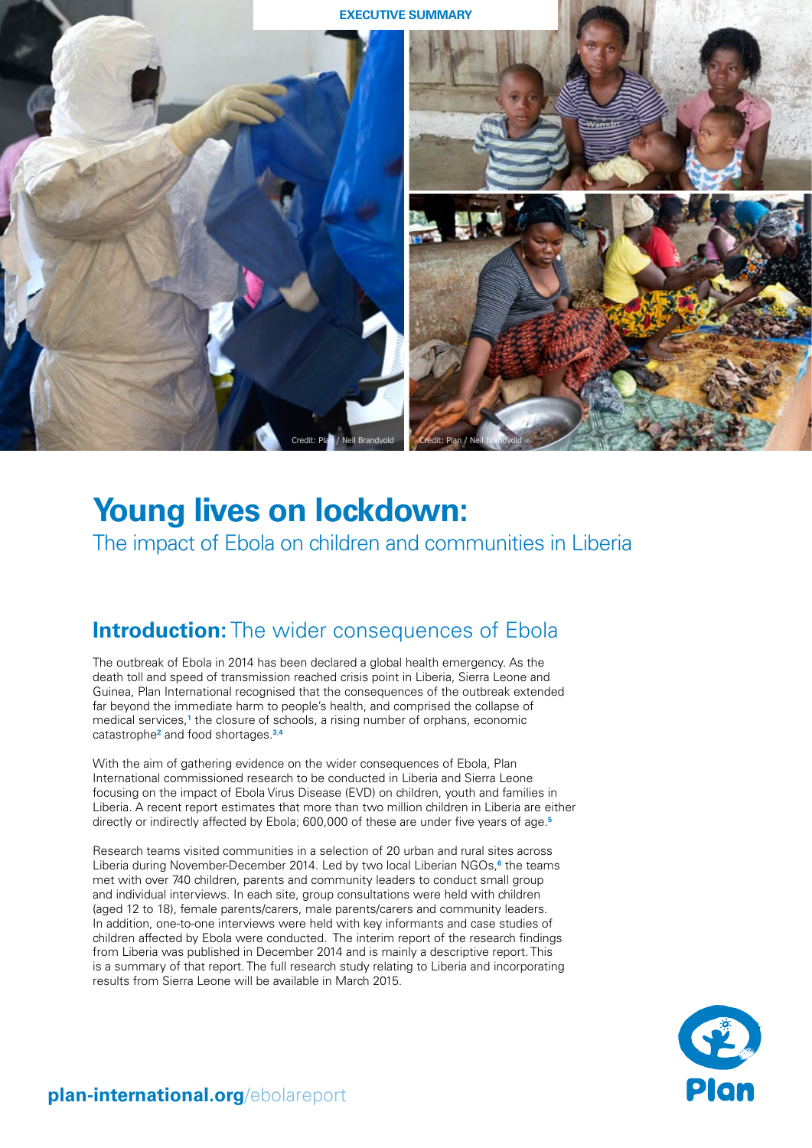

# **Young lives on lockdown:**  The impact of Ebola on children and communities in Liberia

### **Introduction:** The wider consequences of Ebola

The outbreak of Ebola in 2014 has been declared a global health emergency. As the death toll and speed of transmission reached crisis point in Liberia, Sierra Leone and Guinea, Plan International recognised that the consequences of the outbreak extended far beyond the immediate harm to people's health, and comprised the collapse of medical services,**[1](#page-6-0)** the closure of schools, a rising number of orphans, economic catastrophe**[2](#page-6-1)** and food shortages.**[3](#page-6-2)**,**[4](#page-6-3)**

With the aim of gathering evidence on the wider consequences of Ebola, Plan International commissioned research to be conducted in Liberia and Sierra Leone focusing on the impact of Ebola Virus Disease (EVD) on children, youth and families in Liberia. A recent report estimates that more than two million children in Liberia are either directly or indirectly affected by Ebola; 600,000 of these are under five years of age.**[5](#page-6-4)**

Research teams visited communities in a selection of 20 urban and rural sites across Liberia during November-December 2014. Led by two local Liberian NGOs,**[6](#page-6-5)** the teams met with over 740 children, parents and community leaders to conduct small group and individual interviews. In each site, group consultations were held with children (aged 12 to 18), female parents/carers, male parents/carers and community leaders. In addition, one-to-one interviews were held with key informants and case studies of children affected by Ebola were conducted. The interim report of the research findings from Liberia was published in December 2014 and is mainly a descriptive report. This is a summary of that report. The full research study relating to Liberia and incorporating results from Sierra Leone will be available in March 2015.



### **[plan-international.org](http://plan-international.org/ebolareport)**/ebolareport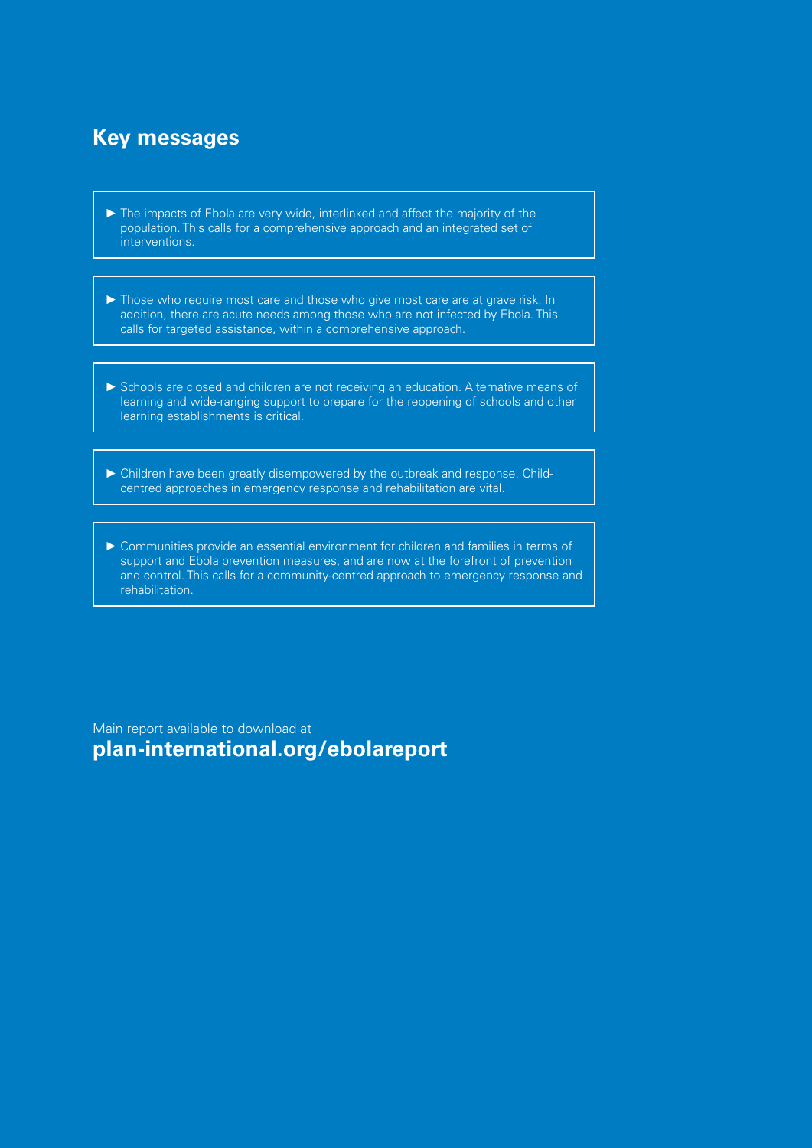## **Key messages**

- ► The impacts of Ebola are very wide, interlinked and affect the majority of the population. This calls for a comprehensive approach and an integrated set of interventions.
- ► Those who require most care and those who give most care are at grave risk. In addition, there are acute needs among those who are not infected by Ebola. This calls for targeted assistance, within a comprehensive approach.
- ► Schools are closed and children are not receiving an education. Alternative means of learning and wide-ranging support to prepare for the reopening of schools and other learning establishments is critical.
- ► Children have been greatly disempowered by the outbreak and response. Childcentred approaches in emergency response and rehabilitation are vital.
- ► Communities provide an essential environment for children and families in terms of support and Ebola prevention measures, and are now at the forefront of prevention and control. This calls for a community-centred approach to emergency response and rehabilitation.

Main report available to download at **[plan-international.org/ebolareport](http://plan-international.org/ebolareport)**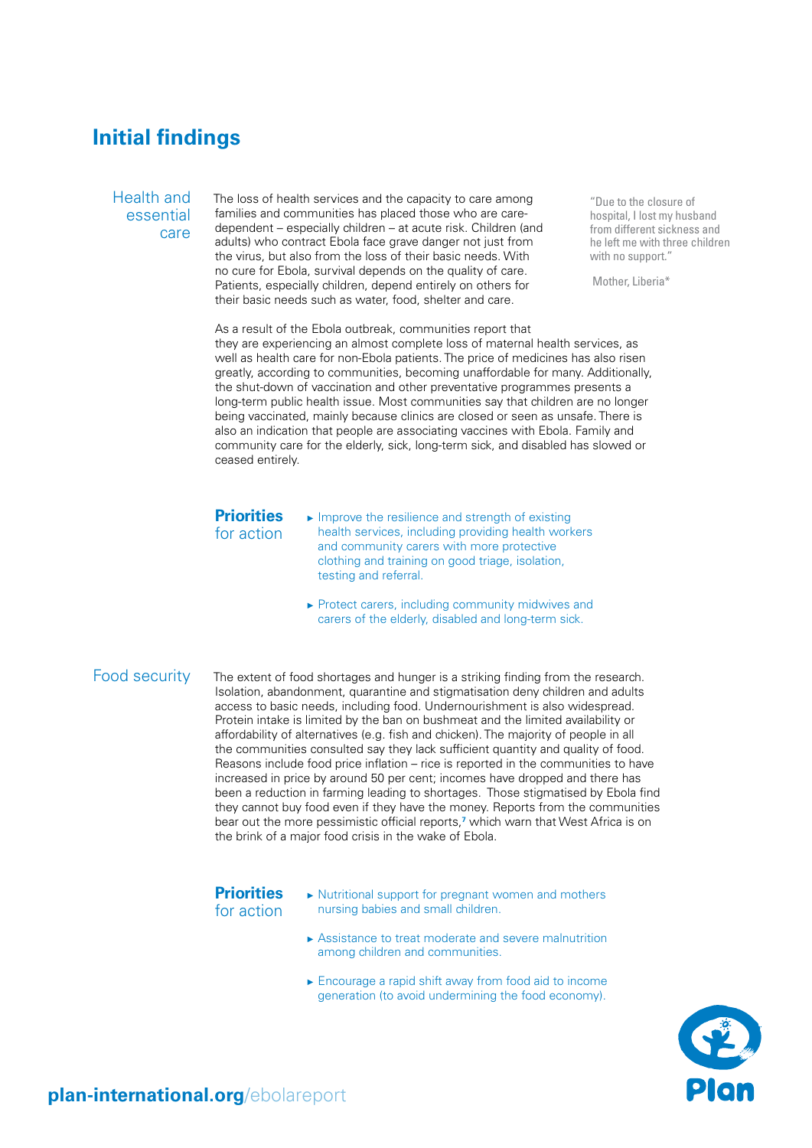### **Initial findings**

Health and essential care

The loss of health services and the capacity to care among families and communities has placed those who are caredependent – especially children – at acute risk. Children (and adults) who contract Ebola face grave danger not just from the virus, but also from the loss of their basic needs. With no cure for Ebola, survival depends on the quality of care. Patients, especially children, depend entirely on others for their basic needs such as water, food, shelter and care.

"Due to the closure of hospital, I lost my husband from different sickness and he left me with three children with no support."

Mother, Liberia\*

As a result of the Ebola outbreak, communities report that they are experiencing an almost complete loss of maternal health services, as well as health care for non-Ebola patients. The price of medicines has also risen greatly, according to communities, becoming unaffordable for many. Additionally, the shut-down of vaccination and other preventative programmes presents a long-term public health issue. Most communities say that children are no longer being vaccinated, mainly because clinics are closed or seen as unsafe. There is also an indication that people are associating vaccines with Ebola. Family and community care for the elderly, sick, long-term sick, and disabled has slowed or ceased entirely.

### **Priorities**

for action

► Improve the resilience and strength of existing health services, including providing health workers and community carers with more protective clothing and training on good triage, isolation, testing and referral.

► Protect carers, including community midwives and carers of the elderly, disabled and long-term sick.

### Food security

The extent of food shortages and hunger is a striking finding from the research. Isolation, abandonment, quarantine and stigmatisation deny children and adults access to basic needs, including food. Undernourishment is also widespread. Protein intake is limited by the ban on bushmeat and the limited availability or affordability of alternatives (e.g. fish and chicken). The majority of people in all the communities consulted say they lack sufficient quantity and quality of food. Reasons include food price inflation – rice is reported in the communities to have increased in price by around 50 per cent; incomes have dropped and there has been a reduction in farming leading to shortages. Those stigmatised by Ebola find they cannot buy food even if they have the money. Reports from the communities bear out the more pessimistic official reports,**[7](#page-6-6)** which warn that West Africa is on the brink of a major food crisis in the wake of Ebola.

#### **Priorities** for action

- ► Nutritional support for pregnant women and mothers nursing babies and small children.
	- ► Assistance to treat moderate and severe malnutrition among children and communities.
	- ► Encourage a rapid shift away from food aid to income generation (to avoid undermining the food economy).

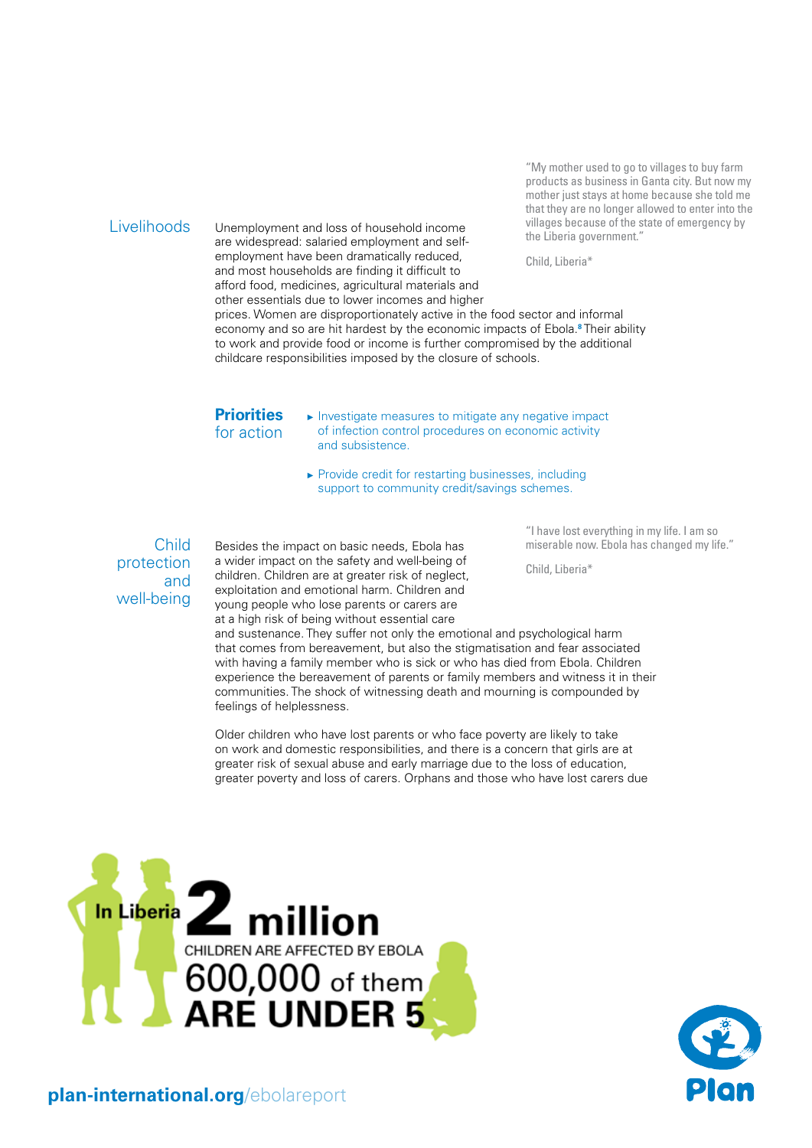#### Livelihoods

Unemployment and loss of household income are widespread: salaried employment and selfemployment have been dramatically reduced, and most households are finding it difficult to afford food, medicines, agricultural materials and other essentials due to lower incomes and higher

"My mother used to go to villages to buy farm products as business in Ganta city. But now my mother just stays at home because she told me that they are no longer allowed to enter into the villages because of the state of emergency by the Liberia government."

Child, Liberia\*

prices. Women are disproportionately active in the food sector and informal economy and so are hit hardest by the economic impacts of Ebola.**[8](#page-6-7)** Their ability to work and provide food or income is further compromised by the additional childcare responsibilities imposed by the closure of schools.

#### **Priorities** for action

► Investigate measures to mitigate any negative impact of infection control procedures on economic activity and subsistence.

► Provide credit for restarting businesses, including support to community credit/savings schemes.

Child protection and well-being

Besides the impact on basic needs, Ebola has a wider impact on the safety and well-being of children. Children are at greater risk of neglect, exploitation and emotional harm. Children and young people who lose parents or carers are at a high risk of being without essential care

"I have lost everything in my life. I am so miserable now. Ebola has changed my life."

Child, Liberia\*

and sustenance. They suffer not only the emotional and psychological harm that comes from bereavement, but also the stigmatisation and fear associated with having a family member who is sick or who has died from Ebola. Children experience the bereavement of parents or family members and witness it in their communities. The shock of witnessing death and mourning is compounded by feelings of helplessness.

Older children who have lost parents or who face poverty are likely to take on work and domestic responsibilities, and there is a concern that girls are at greater risk of sexual abuse and early marriage due to the loss of education, greater poverty and loss of carers. Orphans and those who have lost carers due



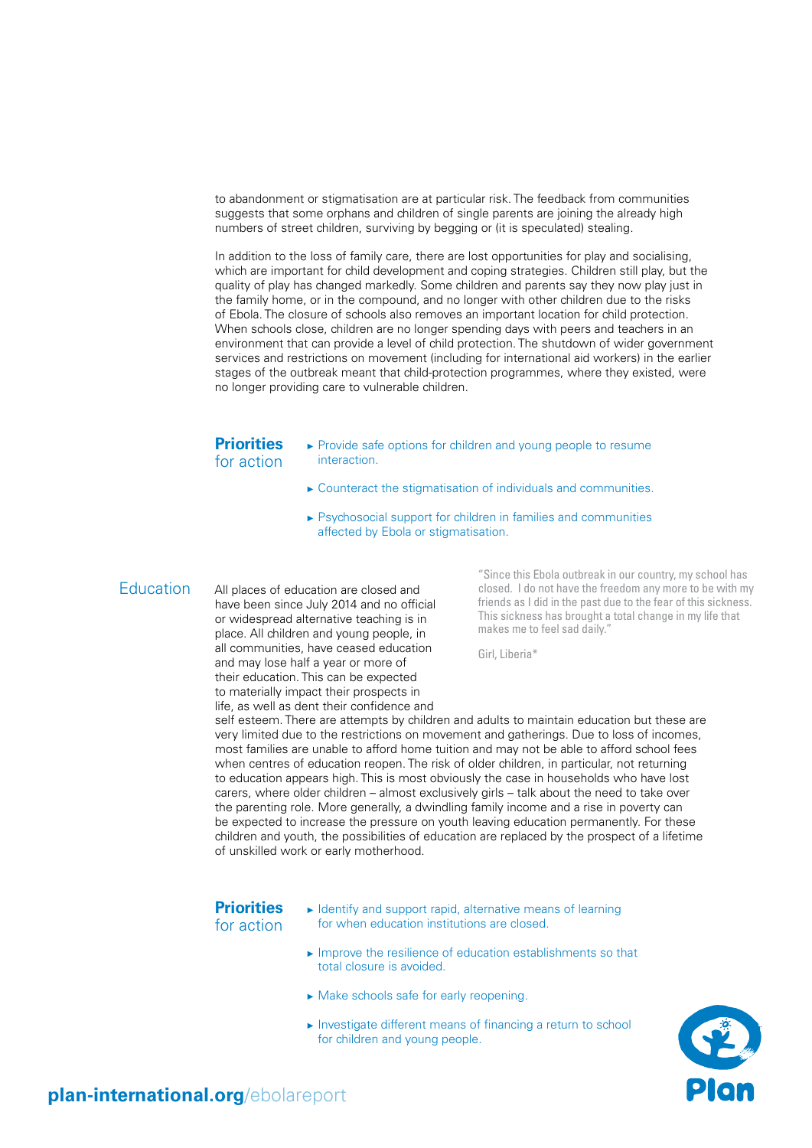to abandonment or stigmatisation are at particular risk. The feedback from communities suggests that some orphans and children of single parents are joining the already high numbers of street children, surviving by begging or (it is speculated) stealing.

In addition to the loss of family care, there are lost opportunities for play and socialising, which are important for child development and coping strategies. Children still play, but the quality of play has changed markedly. Some children and parents say they now play just in the family home, or in the compound, and no longer with other children due to the risks of Ebola. The closure of schools also removes an important location for child protection. When schools close, children are no longer spending days with peers and teachers in an environment that can provide a level of child protection. The shutdown of wider government services and restrictions on movement (including for international aid workers) in the earlier stages of the outbreak meant that child-protection programmes, where they existed, were no longer providing care to vulnerable children.

#### **Priorities** for action

- ► Provide safe options for children and young people to resume interaction.
- ► Counteract the stigmatisation of individuals and communities.
- ► Psychosocial support for children in families and communities affected by Ebola or stigmatisation.

**Education** 

All places of education are closed and have been since July 2014 and no official or widespread alternative teaching is in place. All children and young people, in all communities, have ceased education and may lose half a year or more of their education. This can be expected to materially impact their prospects in life, as well as dent their confidence and

"Since this Ebola outbreak in our country, my school has closed. I do not have the freedom any more to be with my friends as I did in the past due to the fear of this sickness. This sickness has brought a total change in my life that makes me to feel sad daily."

Girl, Liberia\*

self esteem. There are attempts by children and adults to maintain education but these are very limited due to the restrictions on movement and gatherings. Due to loss of incomes, most families are unable to afford home tuition and may not be able to afford school fees when centres of education reopen. The risk of older children, in particular, not returning to education appears high. This is most obviously the case in households who have lost carers, where older children – almost exclusively girls – talk about the need to take over the parenting role. More generally, a dwindling family income and a rise in poverty can be expected to increase the pressure on youth leaving education permanently. For these children and youth, the possibilities of education are replaced by the prospect of a lifetime of unskilled work or early motherhood.

#### **Priorities** for action

- ► Identify and support rapid, alternative means of learning for when education institutions are closed.
- ► Improve the resilience of education establishments so that total closure is avoided.
- ► Make schools safe for early reopening.
- ► Investigate different means of financing a return to school for children and young people.

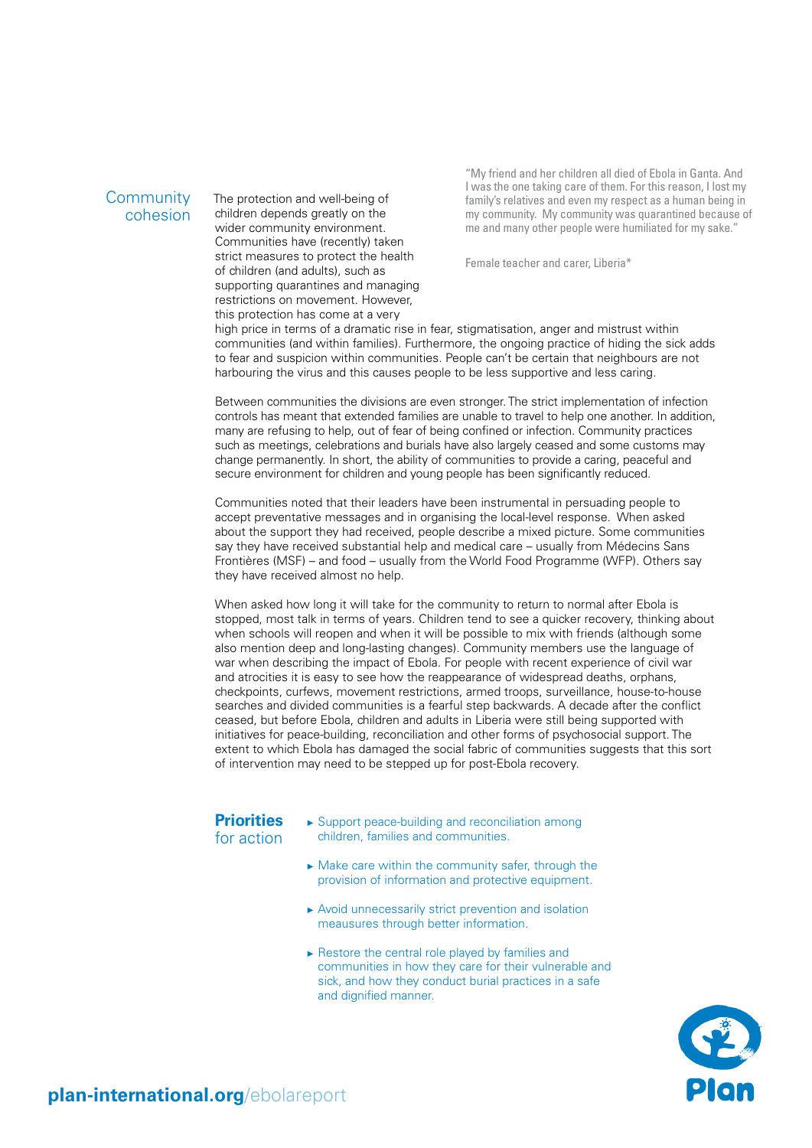#### **Community** cohesion

The protection and well-being of children depends greatly on the wider community environment. Communities have (recently) taken strict measures to protect the health of children (and adults), such as supporting quarantines and managing restrictions on movement. However, this protection has come at a very

"My friend and her children all died of Ebola in Ganta. And I was the one taking care of them. For this reason, I lost my family's relatives and even my respect as a human being in my community. My community was quarantined because of me and many other people were humiliated for my sake."

Female teacher and carer, Liberia\*

high price in terms of a dramatic rise in fear, stigmatisation, anger and mistrust within communities (and within families). Furthermore, the ongoing practice of hiding the sick adds to fear and suspicion within communities. People can't be certain that neighbours are not harbouring the virus and this causes people to be less supportive and less caring.

Between communities the divisions are even stronger. The strict implementation of infection controls has meant that extended families are unable to travel to help one another. In addition, many are refusing to help, out of fear of being confined or infection. Community practices such as meetings, celebrations and burials have also largely ceased and some customs may change permanently. In short, the ability of communities to provide a caring, peaceful and secure environment for children and young people has been significantly reduced.

Communities noted that their leaders have been instrumental in persuading people to accept preventative messages and in organising the local-level response. When asked about the support they had received, people describe a mixed picture. Some communities say they have received substantial help and medical care – usually from Médecins Sans Frontières (MSF) – and food – usually from the World Food Programme (WFP). Others say they have received almost no help.

When asked how long it will take for the community to return to normal after Ebola is stopped, most talk in terms of years. Children tend to see a quicker recovery, thinking about when schools will reopen and when it will be possible to mix with friends (although some also mention deep and long-lasting changes). Community members use the language of war when describing the impact of Ebola. For people with recent experience of civil war and atrocities it is easy to see how the reappearance of widespread deaths, orphans, checkpoints, curfews, movement restrictions, armed troops, surveillance, house-to-house searches and divided communities is a fearful step backwards. A decade after the conflict ceased, but before Ebola, children and adults in Liberia were still being supported with initiatives for peace-building, reconciliation and other forms of psychosocial support. The extent to which Ebola has damaged the social fabric of communities suggests that this sort of intervention may need to be stepped up for post-Ebola recovery.

#### **Priorities** for action

- ► Support peace-building and reconciliation among children, families and communities.
- ► Make care within the community safer, through the provision of information and protective equipment.
- ► Avoid unnecessarily strict prevention and isolation meausures through better information.
- ► Restore the central role played by families and communities in how they care for their vulnerable and sick, and how they conduct burial practices in a safe and dignified manner.